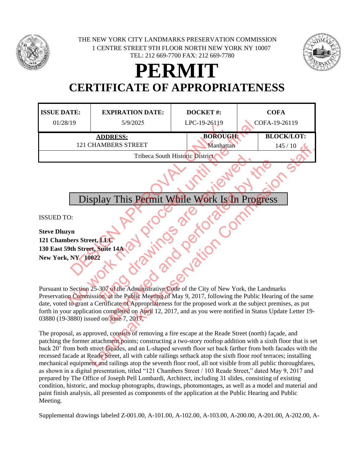

1 CENTRE STREET 9TH FLOOR NORTH NEW YORK NY 10007 TEL: 212 669-7700 FAX: 212 669-7780 THE NEW YORK CITY LANDMARKS PRESERVATION COMMISSION



## **PERMIT CERTIFICATE OF APPROPRIATENESS**

| <b>ISSUE DATE:</b><br>01/28/19                                                                                                                                                                                                                                                                                                                                                                                                                                      | <b>EXPIRATION DATE:</b><br>5/9/2025 | <b>DOCKET#:</b><br>LPC-19-26119 | <b>COFA</b><br>COFA-19-26119 |
|---------------------------------------------------------------------------------------------------------------------------------------------------------------------------------------------------------------------------------------------------------------------------------------------------------------------------------------------------------------------------------------------------------------------------------------------------------------------|-------------------------------------|---------------------------------|------------------------------|
| <b>ADDRESS:</b><br><b>121 CHAMBERS STREET</b>                                                                                                                                                                                                                                                                                                                                                                                                                       |                                     | <b>BOROUGH:</b><br>Manhattan    | <b>BLOCK/LOT:</b>            |
| 145/10                                                                                                                                                                                                                                                                                                                                                                                                                                                              |                                     |                                 |                              |
| Tribeca South Historic District                                                                                                                                                                                                                                                                                                                                                                                                                                     |                                     |                                 |                              |
| Display This Permit While Work Is In Progress                                                                                                                                                                                                                                                                                                                                                                                                                       |                                     |                                 |                              |
|                                                                                                                                                                                                                                                                                                                                                                                                                                                                     |                                     |                                 |                              |
| <b>ISSUED TO:</b>                                                                                                                                                                                                                                                                                                                                                                                                                                                   |                                     |                                 |                              |
| <b>Steve Dluzyn</b>                                                                                                                                                                                                                                                                                                                                                                                                                                                 |                                     |                                 |                              |
| 121 Chambers Street, LLC                                                                                                                                                                                                                                                                                                                                                                                                                                            |                                     |                                 |                              |
| 130 East 59th Street, Suite 14A                                                                                                                                                                                                                                                                                                                                                                                                                                     |                                     |                                 |                              |
| <b>New York, NY 10022</b>                                                                                                                                                                                                                                                                                                                                                                                                                                           |                                     |                                 |                              |
|                                                                                                                                                                                                                                                                                                                                                                                                                                                                     |                                     |                                 |                              |
| Pursuant to Section 25-307 of the Administrative Code of the City of New York, the Landmarks                                                                                                                                                                                                                                                                                                                                                                        |                                     |                                 |                              |
| Preservation Commission, at the Public Meeting of May 9, 2017, following the Public Hearing of the same                                                                                                                                                                                                                                                                                                                                                             |                                     |                                 |                              |
| date, voted to grant a Certificate of Appropriateness for the proposed work at the subject premises, as put                                                                                                                                                                                                                                                                                                                                                         |                                     |                                 |                              |
| forth in your application completed on April 12, 2017, and as you were notified in Status Update Letter 19-                                                                                                                                                                                                                                                                                                                                                         |                                     |                                 |                              |
| 03880 (19-3880) issued on June 7, 2017.                                                                                                                                                                                                                                                                                                                                                                                                                             |                                     |                                 |                              |
| The proposal, as approved, consists of removing a fire escape at the Reade Street (north) façade, and                                                                                                                                                                                                                                                                                                                                                               |                                     |                                 |                              |
| patching the former attachment points; constructing a two-story rooftop addition with a sixth floor that is set<br>back 20' from both street façades, and an L-shaped seventh floor set back farther from both facades with the<br>recessed facade at Reade Street, all with cable railings setback atop the sixth floor roof terraces; installing<br>mechanical equipment and railings atop the seventh floor roof, all not visible from all public thoroughfares, |                                     |                                 |                              |

The proposal, as approved, consists of removing a fire escape at the Reade Street (north) façade, and patching the former attachment points; constructing a two-story rooftop addition with a sixth floor that is set back 20' from both street façades, and an L-shaped seventh floor set back farther from both facades with the recessed facade at Reade Street, all with cable railings setback atop the sixth floor roof terraces; installing mechanical equipment and railings atop the seventh floor roof, all not visible from all public thoroughfares, as shown in a digital presentation, titled "121 Chambers Street / 103 Reade Street," dated May 9, 2017 and prepared by The Office of Joseph Pell Lombardi, Architect, including 31 slides, consisting of existing condition, historic, and mockup photographs, drawings, photomontages, as well as a model and material and paint finish analysis, all presented as components of the application at the Public Hearing and Public Meeting.

Supplemental drawings labeled Z-001.00, A-101.00, A-102.00, A-103.00, A-200.00, A-201.00, A-202.00, A-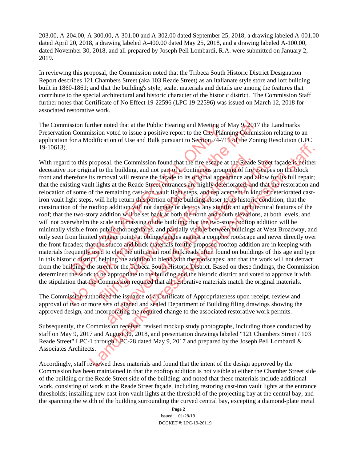203.00, A-204.00, A-300.00, A-301.00 and A-302.00 dated September 25, 2018, a drawing labeled A-001.00 dated April 20, 2018, a drawing labeled A-400.00 dated May 25, 2018, and a drawing labeled A-100.00, dated November 30, 2018, and all prepared by Joseph Pell Lombardi, R.A. were submitted on January 2, 2019.

In reviewing this proposal, the Commission noted that the Tribeca South Historic District Designation Report describes 121 Chambers Street (aka 103 Reade Street) as an Italianate style store and loft building built in 1860-1861; and that the building's style, scale, materials and details are among the features that contribute to the special architectural and historic character of the historic district. The Commission Staff further notes that Certificate of No Effect 19-22596 (LPC 19-22596) was issued on March 12, 2018 for associated restorative work.

The Commission further noted that at the Public Hearing and Meeting of May 9, 2017 the Landmarks Preservation Commission voted to issue a positive report to the City Planning Commission relating to an application for a Modification of Use and Bulk pursuant to Section 74-711 of the Zoning Resolution (LPC 19-10613).

With regard to this proposal, the Commission found that the fire escape at the Reade Street facade is neither decorative nor original to the building, and not part of a continuous grouping of fire escapes on the block front and therefore its removal will restore the façade to its original appearance and allow for its full repair; that the existing vault lights at the Reade Street entrances are highly deteriorated, and that the restoration and relocation of some of the remaining cast-iron vault light steps, and replacement in kind of deteriorated castiron vault light steps, will help return this portion of the building closer to its historic condition; that the construction of the rooftop addition will not damage or destroy any significant architectural features of the roof; that the two-story addition will be set back at both the north and south elevations, at both levels, and will not overwhelm the scale and massing of the building; that the two-story rooftop addition will be minimally visible from public thoroughfares, and partially visible between buildings at West Broadway, and only seen from limited vantage points at oblique angles against a complex roofscape and never directly over the front facades; that the stucco and brick materials for the proposed rooftop addition are in keeping with materials frequently used to clad the utilitarian roof bulkheads often found on buildings of this age and type in this historic district, helping the addition to blend with the roofscapes; and that the work will not detract from the building, the street, or the Tribeca South Historic District. Based on these findings, the Commission determined the work to be appropriate to the building and the historic district and voted to approve it with the stipulation that the Commission required that all restorative materials match the original materials. Short rule in the state of the building and weeling of a Commission voted to issue a positive report to the City Plann Correlation of Use and Bulk pursuant to Section 74-71 [for a Modification of Use and Bulk pursuant to S ission further noted that at the Public Hearing and Meeting of May 9, 2017<br>
In Commission voted to issue a positive report to the City Planning Commi<br>
for a Modification of Use and Bulk pursuant to Section 74-711 of the Zo posal, the Commission found that the fire esseape at the Reade<br>to the building, and not part of a continuous grouping of fire<br>removal will restore the facade to its original appearance and ights at the Reade Street entranc al, the Commission found that the fire escape at the Reade Street free building, and not part of a continuous grouping of fire escapes oval will restore the factade to its prigmal appearance and allow for states its at the proposal, the Commission found that the fire escape at the Reade Street facade. The filter and to the building, and not part of a commission received of the Scatter in the block in the Reade Street entrances are highly det

The Commission authorized the issuance of a Certificate of Appropriateness upon receipt, review and approval of two or more sets of signed and sealed Department of Building filing drawings showing the approved design, and incorporating the required change to the associated restorative work permits.

Subsequently, the Commission received revised mockup study photographs, including those conducted by staff on May 9, 2017 and August 30, 2018, and presentation drawings labeled "121 Chambers Street / 103 Reade Street" LPC-1 through LPC-28 dated May 9, 2017 and prepared by the Joseph Pell Lombardi & Associates Architects.

Accordingly, staff reviewed these materials and found that the intent of the design approved by the Commission has been maintained in that the rooftop addition is not visible at either the Chamber Street side of the building or the Reade Street side of the building; and noted that these materials include additional work, consisting of work at the Reade Street façade, including restoring cast-iron vault lights at the entrance thresholds; installing new cast-iron vault lights at the threshold of the projecting bay at the central bay, and the spanning the width of the building surrounding the curved central bay, excepting a diamond-plate metal

> **Page 2** Issued: 01/28/19 DOCKET #: LPC-19-26119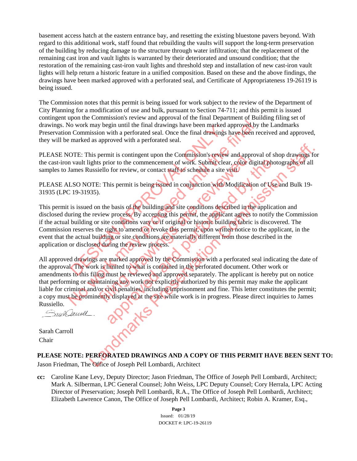basement access hatch at the eastern entrance bay, and resetting the existing bluestone pavers beyond. With regard to this additional work, staff found that rebuilding the vaults will support the long-term preservation of the building by reducing damage to the structure through water infiltration; that the replacement of the remaining cast iron and vault lights is warranted by their deteriorated and unsound condition; that the restoration of the remaining cast-iron vault lights and threshold step and installation of new cast-iron vault lights will help return a historic feature in a unified composition. Based on these and the above findings, the drawings have been marked approved with a perforated seal, and Certificate of Appropriateness 19-26119 is being issued.

The Commission notes that this permit is being issued for work subject to the review of the Department of City Planning for a modification of use and bulk, pursuant to Section 74-711; and this permit is issued contingent upon the Commission's review and approval of the final Department of Building filing set of drawings. No work may begin until the final drawings have been marked approved by the Landmarks Preservation Commission with a perforated seal. Once the final drawings have been received and approved, they will be marked as approved with a perforated seal.

PLEASE NOTE: This permit is contingent upon the Commission's review and approval of shop drawings for the cast-iron vault lights prior to the commencement of work. Submit clear, color digital photographs of all samples to James Russiello for review, or contact staff to schedule a site visit.

PLEASE ALSO NOTE: This permit is being issued in conjunction with Modification of Use and Bulk 19-31935 (LPC 19-31935).

This permit is issued on the basis of the building and site conditions described in the application and disclosed during the review process. By accepting this permit, the applicant agrees to notify the Commission if the actual building or site conditions vary or if original or historic building fabric is discovered. The Commission reserves the right to amend or revoke this permit, upon written notice to the applicant, in the event that the actual building or site conditions are materially different from those described in the application or disclosed during the review process. The work in the performance of the commission with a performance of the final drawings in the commission with a perforated seal.<br>
DTE: This permit is contingent upon the Commission's review<br>
vault lights prior to the comme

All approved drawings are marked approved by the Commission with a perforated seal indicating the date of the approval. The work is limited to what is contained in the perforated document. Other work or amendments to this filing must be reviewed and approved separately. The applicant is hereby put on notice that performing or maintaining any work not explicitly authorized by this permit may make the applicant liable for criminal and/or civil penalties, including imprisonment and fine. This letter constitutes the permit; a copy must be prominently displayed at the site while work is in progress. Please direct inquiries to James Russiello. No work may begin until the final drawings have been marked approved by<br>
In Commission with a perforated seal. Once the final drawings have been re<br>
marked as approved with a perforated seal.<br>
IOTE: This permit is continge Framework is continued to work and approved the street with the setting of the setting of the street with the basis of the building and site conditions described in the basis of the building and site conditions described i rior to the commencement of work. Submittelear, color digital photometric of or review, or contact staff to schedule a site visit.<br>
This permit is being issued in conjunction with Modification of Use<br>
the basis of the buil this permit is contingent upon the Commission stever and approval of shop drawings for<br>lights prior to the commencement of work. Submit clear, color digital photographs of all<br>ussiello for review, or contact staff to sched

Sarah Carroll Chair

## **PLEASE NOTE: PERFORATED DRAWINGS AND A COPY OF THIS PERMIT HAVE BEEN SENT TO:**

Jason Friedman, The Office of Joseph Pell Lombardi, Architect

**cc:** Caroline Kane Levy, Deputy Director; Jason Friedman, The Office of Joseph Pell Lombardi, Architect; Mark A. Silberman, LPC General Counsel; John Weiss, LPC Deputy Counsel; Cory Herrala, LPC Acting Director of Preservation; Joseph Pell Lombardi, R.A., The Office of Joseph Pell Lombardi, Architect; Elizabeth Lawrence Canon, The Office of Joseph Pell Lombardi, Architect; Robin A. Kramer, Esq.,

> **Page 3** Issued: 01/28/19 DOCKET #: LPC-19-26119